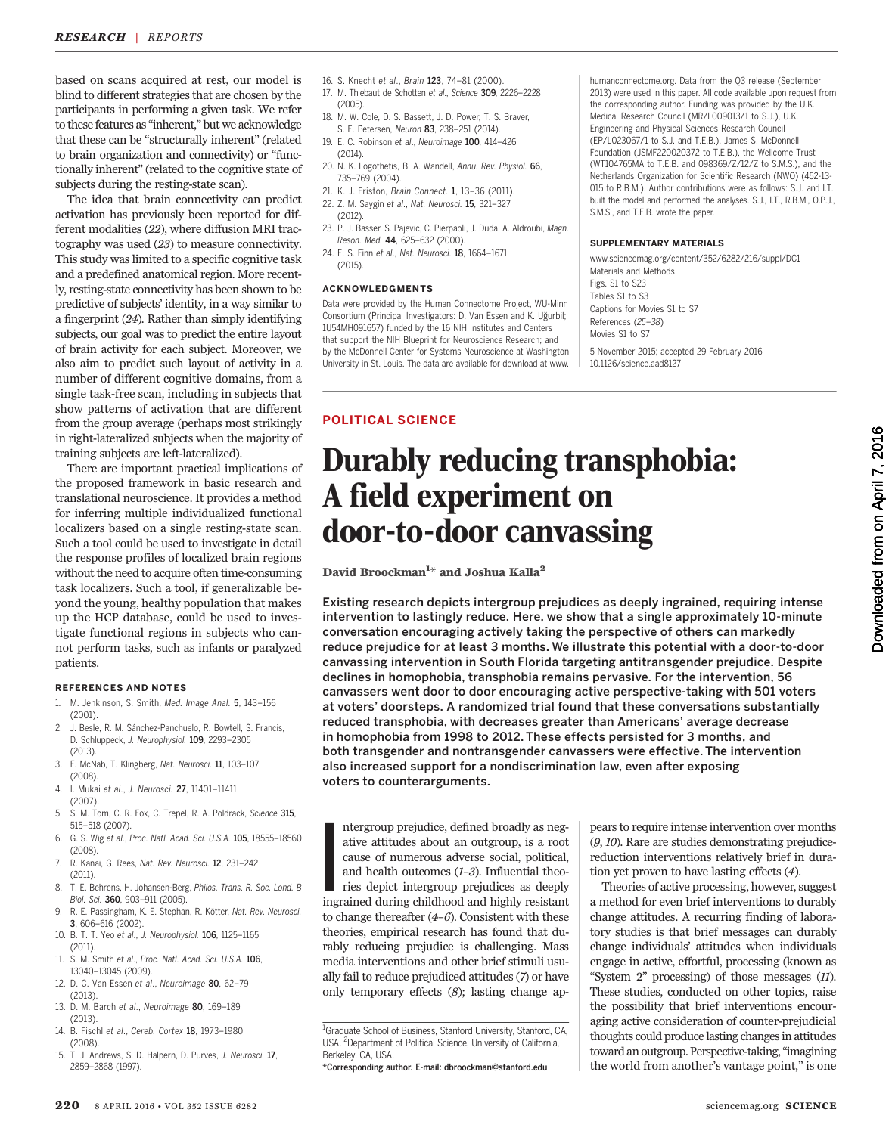based on scans acquired at rest, our model is blind to different strategies that are chosen by the participants in performing a given task. We refer to these features as "inherent," but we acknowledge that these can be "structurally inherent" (related to brain organization and connectivity) or "functionally inherent" (related to the cognitive state of subjects during the resting-state scan).

The idea that brain connectivity can predict activation has previously been reported for different modalities (22), where diffusion MRI tractography was used (23) to measure connectivity. This study was limited to a specific cognitive task and a predefined anatomical region. More recently, resting-state connectivity has been shown to be predictive of subjects' identity, in a way similar to a fingerprint (24). Rather than simply identifying subjects, our goal was to predict the entire layout of brain activity for each subject. Moreover, we also aim to predict such layout of activity in a number of different cognitive domains, from a single task-free scan, including in subjects that show patterns of activation that are different from the group average (perhaps most strikingly in right-lateralized subjects when the majority of training subjects are left-lateralized).

There are important practical implications of the proposed framework in basic research and translational neuroscience. It provides a method for inferring multiple individualized functional localizers based on a single resting-state scan. Such a tool could be used to investigate in detail the response profiles of localized brain regions without the need to acquire often time-consuming task localizers. Such a tool, if generalizable beyond the young, healthy population that makes up the HCP database, could be used to investigate functional regions in subjects who cannot perform tasks, such as infants or paralyzed patients.

#### REFERENCES AND NOTES

- 1. M. Jenkinson, S. Smith, Med. Image Anal. 5, 143–156 (2001).
- 2. J. Besle, R. M. Sánchez-Panchuelo, R. Bowtell, S. Francis, D. Schluppeck, J. Neurophysiol. 109, 2293–2305 (2013).
- 3. F. McNab, T. Klingberg, Nat. Neurosci. 11, 103–107 (2008).
- 4. I. Mukai et al., J. Neurosci. 27, 11401–11411 (2007).
- 5. S. M. Tom, C. R. Fox, C. Trepel, R. A. Poldrack, Science 315, 515–518 (2007).
- 6. G. S. Wig et al., Proc. Natl. Acad. Sci. U.S.A. 105, 18555–18560 (2008).
- 7. R. Kanai, G. Rees, Nat. Rev. Neurosci. 12, 231–242 (2011).
- 8. T. E. Behrens, H. Johansen-Berg, Philos. Trans. R. Soc. Lond. B Biol. Sci. 360, 903–911 (2005).
- R. E. Passingham, K. E. Stephan, R. Kötter, Nat. Rev. Neurosci. 3, 606–616 (2002).
- 10. B. T. T. Yeo et al., J. Neurophysiol. 106, 1125–1165 (2011).
- 11. S. M. Smith et al., Proc. Natl. Acad. Sci. U.S.A. 106 13040–13045 (2009).
- 12. D. C. Van Essen et al., Neuroimage 80, 62–79 (2013).
- 13. D. M. Barch et al., Neuroimage 80, 169–189 (2013).
- 14. B. Fischl et al., Cereb. Cortex 18, 1973–1980 (2008).
- 15. T. J. Andrews, S. D. Halpern, D. Purves, J. Neurosci. 17, 2859–2868 (1997).
- 16. S. Knecht et al., Brain 123, 74–81 (2000).
- 17. M. Thiebaut de Schotten et al., Science 309, 2226–2228 (2005).
- 18. M. W. Cole, D. S. Bassett, J. D. Power, T. S. Braver, S. E. Petersen, Neuron 83, 238–251 (2014).
- 19. E. C. Robinson et al., Neuroimage 100, 414–426 (2014).
- 20. N. K. Logothetis, B. A. Wandell, Annu. Rev. Physiol. 66, 735–769 (2004).
- 21. K. J. Friston, Brain Connect. 1, 13–36 (2011).
- 22. Z. M. Saygin et al., Nat. Neurosci. 15, 321–327
- (2012). 23. P. J. Basser, S. Pajevic, C. Pierpaoli, J. Duda, A. Aldroubi, Magn. Reson. Med. 44, 625–632 (2000).
- 24. E. S. Finn et al., Nat. Neurosci. 18, 1664–1671 (2015).

#### ACKNOWLEDGMENTS

POLITICAL SCIENCE

Data were provided by the Human Connectome Project, WU-Minn Consortium (Principal Investigators: D. Van Essen and K. Uğurbil; 1U54MH091657) funded by the 16 NIH Institutes and Centers that support the NIH Blueprint for Neuroscience Research; and by the McDonnell Center for Systems Neuroscience at Washington University in St. Louis. The data are available for download at www.

humanconnectome.org. Data from the Q3 release (September 2013) were used in this paper. All code available upon request from the corresponding author. Funding was provided by the U.K. Medical Research Council (MR/L009013/1 to S.J.), U.K. Engineering and Physical Sciences Research Council (EP/L023067/1 to S.J. and T.E.B.), James S. McDonnell Foundation (JSMF220020372 to T.E.B.), the Wellcome Trust (WT104765MA to T.E.B. and 098369/Z/12/Z to S.M.S.), and the Netherlands Organization for Scientific Research (NWO) (452-13- 015 to R.B.M.). Author contributions were as follows: S.J. and I.T. built the model and performed the analyses. S.J., I.T., R.B.M., O.P.J., S.M.S., and T.E.B. wrote the paper.

#### SUPPLEMENTARY MATERIALS

www.sciencemag.org/content/352/6282/216/suppl/DC1 Materials and Methods Figs. S1 to S23 Tables S1 to S3 Captions for Movies S1 to S7 References (25–38) Movies S1 to S7 5 November 2015; accepted 29 February 2016

10.1126/science.aad8127

# Durably reducing transphobia: A field experiment on door-to-door canvassing

David Broockman $^{\rm 1\star}$  and Joshua Kalla $^{\rm 2}$ 

Existing research depicts intergroup prejudices as deeply ingrained, requiring intense intervention to lastingly reduce. Here, we show that a single approximately 10-minute conversation encouraging actively taking the perspective of others can markedly reduce prejudice for at least 3 months. We illustrate this potential with a door-to-door canvassing intervention in South Florida targeting antitransgender prejudice. Despite declines in homophobia, transphobia remains pervasive. For the intervention, 56 canvassers went door to door encouraging active perspective-taking with 501 voters at voters' doorsteps. A randomized trial found that these conversations substantially reduced transphobia, with decreases greater than Americans' average decrease in homophobia from 1998 to 2012. These effects persisted for 3 months, and both transgender and nontransgender canvassers were effective. The intervention also increased support for a nondiscrimination law, even after exposing voters to counterarguments.

I<br>Ins ntergroup prejudice, defined broadly as negative attitudes about an outgroup, is a root cause of numerous adverse social, political, and health outcomes  $(1-3)$ . Influential theories depict intergroup prejudices as deeply ingrained during childhood and highly resistant to change thereafter  $(4-6)$ . Consistent with these theories, empirical research has found that durably reducing prejudice is challenging. Mass media interventions and other brief stimuli usually fail to reduce prejudiced attitudes (7) or have only temporary effects (8); lasting change apDownloaded from on April 7, 2016 Downloaded from

on April 7, 2016

pears to require intense intervention over months (9, 10). Rare are studies demonstrating prejudicereduction interventions relatively brief in duration yet proven to have lasting effects (4). Theories of active processing, however, suggest a method for even brief interventions to durably change attitudes. A recurring finding of laboratory studies is that brief messages can durably change individuals' attitudes when individuals engage in active, effortful, processing (known as "System 2" processing) of those messages (11). These studies, conducted on other topics, raise the possibility that brief interventions encouraging active consideration of counter-prejudicial thoughts could produce lasting changes in attitudes toward an outgroup. Perspective-taking,"imagining the world from another's vantage point," is one

<sup>&</sup>lt;sup>1</sup>Graduate School of Business, Stanford University, Stanford, CA, USA. <sup>2</sup>Department of Political Science, University of California, Berkeley, CA, USA.

<sup>\*</sup>Corresponding author. E-mail: dbroockman@stanford.edu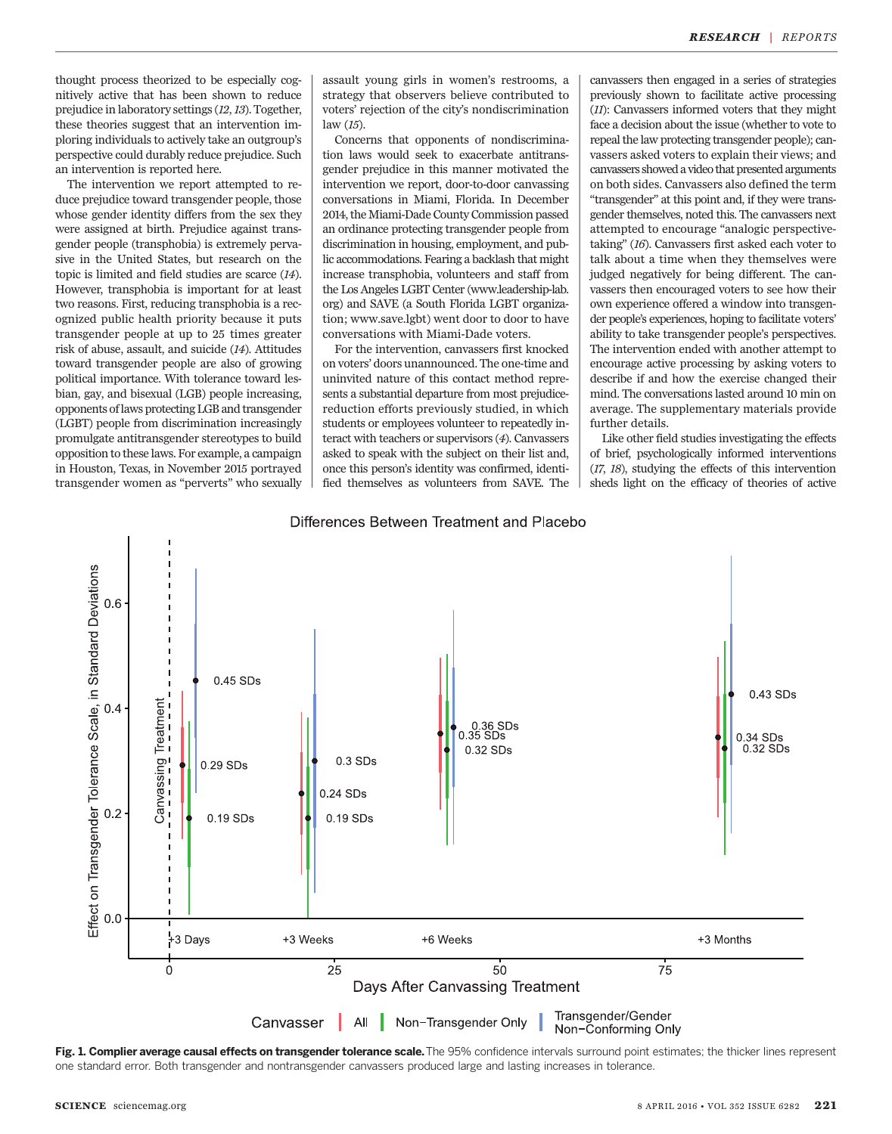thought process theorized to be especially cognitively active that has been shown to reduce prejudice in laboratory settings (12,13). Together, these theories suggest that an intervention imploring individuals to actively take an outgroup's perspective could durably reduce prejudice. Such an intervention is reported here.

The intervention we report attempted to reduce prejudice toward transgender people, those whose gender identity differs from the sex they were assigned at birth. Prejudice against transgender people (transphobia) is extremely pervasive in the United States, but research on the topic is limited and field studies are scarce (14). However, transphobia is important for at least two reasons. First, reducing transphobia is a recognized public health priority because it puts transgender people at up to 25 times greater risk of abuse, assault, and suicide (14). Attitudes toward transgender people are also of growing political importance. With tolerance toward lesbian, gay, and bisexual (LGB) people increasing, opponents of laws protecting LGB and transgender (LGBT) people from discrimination increasingly promulgate antitransgender stereotypes to build opposition to these laws. For example, a campaign in Houston, Texas, in November 2015 portrayed transgender women as "perverts" who sexually

assault young girls in women's restrooms, a strategy that observers believe contributed to voters' rejection of the city's nondiscrimination law (15).

Concerns that opponents of nondiscrimination laws would seek to exacerbate antitransgender prejudice in this manner motivated the intervention we report, door-to-door canvassing conversations in Miami, Florida. In December 2014, the Miami-Dade County Commission passed an ordinance protecting transgender people from discrimination in housing, employment, and public accommodations. Fearing a backlash that might increase transphobia, volunteers and staff from the Los Angeles LGBT Center (www.leadership-lab. org) and SAVE (a South Florida LGBT organization; www.save.lgbt) went door to door to have conversations with Miami-Dade voters.

For the intervention, canvassers first knocked on voters' doors unannounced. The one-time and uninvited nature of this contact method represents a substantial departure from most prejudicereduction efforts previously studied, in which students or employees volunteer to repeatedly interact with teachers or supervisors (4). Canvassers asked to speak with the subject on their list and, once this person's identity was confirmed, identified themselves as volunteers from SAVE. The canvassers then engaged in a series of strategies previously shown to facilitate active processing (11): Canvassers informed voters that they might face a decision about the issue (whether to vote to repeal the law protecting transgender people); canvassers asked voters to explain their views; and canvassers showed a video that presented arguments on both sides. Canvassers also defined the term "transgender" at this point and, if they were transgender themselves, noted this. The canvassers next attempted to encourage "analogic perspectivetaking" (16). Canvassers first asked each voter to talk about a time when they themselves were judged negatively for being different. The canvassers then encouraged voters to see how their own experience offered a window into transgender people's experiences, hoping to facilitate voters' ability to take transgender people's perspectives. The intervention ended with another attempt to encourage active processing by asking voters to describe if and how the exercise changed their mind. The conversations lasted around 10 min on average. The supplementary materials provide further details.

Like other field studies investigating the effects of brief, psychologically informed interventions (17, 18), studying the effects of this intervention sheds light on the efficacy of theories of active



### Differences Between Treatment and Placebo

Fig. 1. Complier average causal effects on transgender tolerance scale. The 95% confidence intervals surround point estimates; the thicker lines represent one standard error. Both transgender and nontransgender canvassers produced large and lasting increases in tolerance.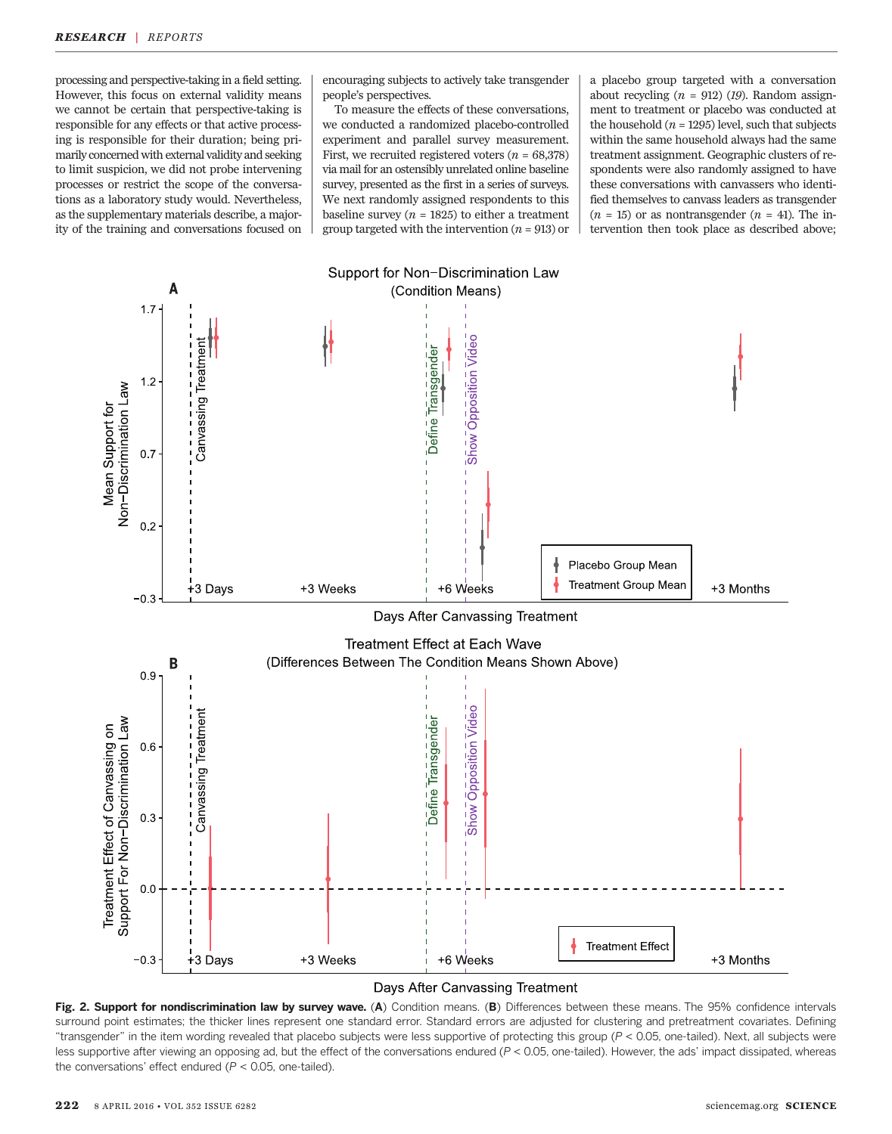processing and perspective-taking in a field setting. However, this focus on external validity means we cannot be certain that perspective-taking is responsible for any effects or that active processing is responsible for their duration; being primarily concerned with external validity and seeking to limit suspicion, we did not probe intervening processes or restrict the scope of the conversations as a laboratory study would. Nevertheless, as the supplementary materials describe, a majority of the training and conversations focused on

encouraging subjects to actively take transgender people's perspectives.

To measure the effects of these conversations, we conducted a randomized placebo-controlled experiment and parallel survey measurement. First, we recruited registered voters  $(n = 68,378)$ via mail for an ostensibly unrelated online baseline survey, presented as the first in a series of surveys. We next randomly assigned respondents to this baseline survey ( $n = 1825$ ) to either a treatment group targeted with the intervention ( $n = 913$ ) or a placebo group targeted with a conversation about recycling  $(n = 912)$  (19). Random assignment to treatment or placebo was conducted at the household  $(n = 1295)$  level, such that subjects within the same household always had the same treatment assignment. Geographic clusters of respondents were also randomly assigned to have these conversations with canvassers who identified themselves to canvass leaders as transgender  $(n = 15)$  or as nontransgender  $(n = 41)$ . The intervention then took place as described above;



#### Days After Canvassing Treatment

Fig. 2. Support for nondiscrimination law by survey wave. (A) Condition means. (B) Differences between these means. The 95% confidence intervals surround point estimates; the thicker lines represent one standard error. Standard errors are adjusted for clustering and pretreatment covariates. Defining "transgender" in the item wording revealed that placebo subjects were less supportive of protecting this group (P < 0.05, one-tailed). Next, all subjects were less supportive after viewing an opposing ad, but the effect of the conversations endured (P < 0.05, one-tailed). However, the ads' impact dissipated, whereas the conversations' effect endured ( $P < 0.05$ , one-tailed).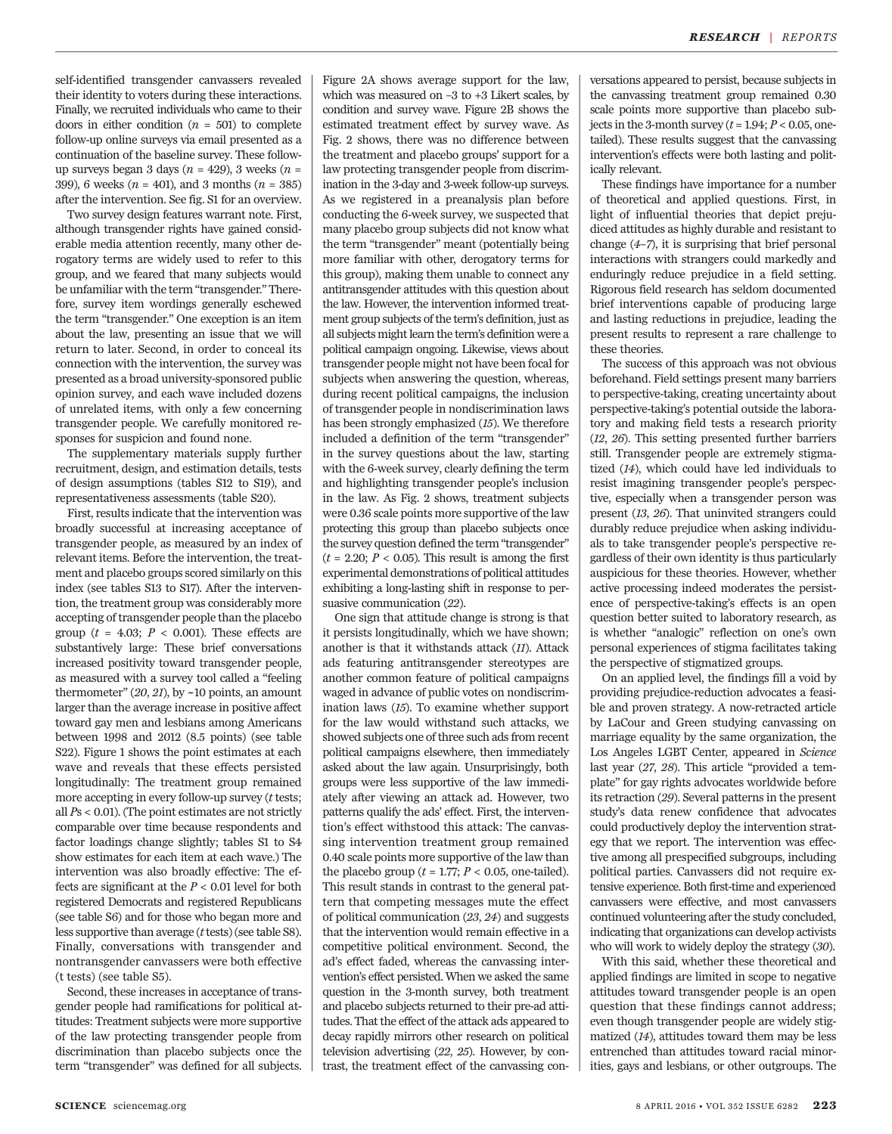self-identified transgender canvassers revealed their identity to voters during these interactions. Finally, we recruited individuals who came to their doors in either condition  $(n = 501)$  to complete follow-up online surveys via email presented as a continuation of the baseline survey. These followup surveys began 3 days ( $n = 429$ ), 3 weeks ( $n =$ 399), 6 weeks ( $n = 401$ ), and 3 months ( $n = 385$ ) after the intervention. See fig. S1 for an overview.

Two survey design features warrant note. First, although transgender rights have gained considerable media attention recently, many other derogatory terms are widely used to refer to this group, and we feared that many subjects would be unfamiliar with the term "transgender." Therefore, survey item wordings generally eschewed the term "transgender." One exception is an item about the law, presenting an issue that we will return to later. Second, in order to conceal its connection with the intervention, the survey was presented as a broad university-sponsored public opinion survey, and each wave included dozens of unrelated items, with only a few concerning transgender people. We carefully monitored responses for suspicion and found none.

The supplementary materials supply further recruitment, design, and estimation details, tests of design assumptions (tables S12 to S19), and representativeness assessments (table S20).

First, results indicate that the intervention was broadly successful at increasing acceptance of transgender people, as measured by an index of relevant items. Before the intervention, the treatment and placebo groups scored similarly on this index (see tables S13 to S17). After the intervention, the treatment group was considerably more accepting of transgender people than the placebo group ( $t = 4.03$ ;  $P < 0.001$ ). These effects are substantively large: These brief conversations increased positivity toward transgender people, as measured with a survey tool called a "feeling thermometer"  $(20, 21)$ , by  $\sim$ 10 points, an amount larger than the average increase in positive affect toward gay men and lesbians among Americans between 1998 and 2012 (8.5 points) (see table S22). Figure 1 shows the point estimates at each wave and reveals that these effects persisted longitudinally: The treatment group remained more accepting in every follow-up survey  $(t$  tests; all Ps < 0.01). (The point estimates are not strictly comparable over time because respondents and factor loadings change slightly; tables S1 to S4 show estimates for each item at each wave.) The intervention was also broadly effective: The effects are significant at the  $P < 0.01$  level for both registered Democrats and registered Republicans (see table S6) and for those who began more and less supportive than average  $(t$  tests) (see table S8). Finally, conversations with transgender and nontransgender canvassers were both effective (t tests) (see table S5).

Second, these increases in acceptance of transgender people had ramifications for political attitudes: Treatment subjects were more supportive of the law protecting transgender people from discrimination than placebo subjects once the term "transgender" was defined for all subjects.

Figure 2A shows average support for the law, which was measured on –3 to +3 Likert scales, by condition and survey wave. Figure 2B shows the estimated treatment effect by survey wave. As Fig. 2 shows, there was no difference between the treatment and placebo groups' support for a law protecting transgender people from discrimination in the 3-day and 3-week follow-up surveys. As we registered in a preanalysis plan before conducting the 6-week survey, we suspected that many placebo group subjects did not know what the term "transgender" meant (potentially being more familiar with other, derogatory terms for this group), making them unable to connect any antitransgender attitudes with this question about the law. However, the intervention informed treatment group subjects of the term's definition, just as all subjects might learn the term's definition were a political campaign ongoing. Likewise, views about transgender people might not have been focal for subjects when answering the question, whereas, during recent political campaigns, the inclusion of transgender people in nondiscrimination laws has been strongly emphasized (15). We therefore included a definition of the term "transgender" in the survey questions about the law, starting with the 6-week survey, clearly defining the term and highlighting transgender people's inclusion in the law. As Fig. 2 shows, treatment subjects were 0.36 scale points more supportive of the law protecting this group than placebo subjects once the survey question defined the term "transgender"  $(t = 2.20; P < 0.05)$ . This result is among the first experimental demonstrations of political attitudes exhibiting a long-lasting shift in response to persuasive communication (22).

One sign that attitude change is strong is that it persists longitudinally, which we have shown; another is that it withstands attack (11). Attack ads featuring antitransgender stereotypes are another common feature of political campaigns waged in advance of public votes on nondiscrimination laws (15). To examine whether support for the law would withstand such attacks, we showed subjects one of three such ads from recent political campaigns elsewhere, then immediately asked about the law again. Unsurprisingly, both groups were less supportive of the law immediately after viewing an attack ad. However, two patterns qualify the ads' effect. First, the intervention's effect withstood this attack: The canvassing intervention treatment group remained 0.40 scale points more supportive of the law than the placebo group ( $t = 1.77$ ;  $P < 0.05$ , one-tailed). This result stands in contrast to the general pattern that competing messages mute the effect of political communication (23, 24) and suggests that the intervention would remain effective in a competitive political environment. Second, the ad's effect faded, whereas the canvassing intervention's effect persisted. When we asked the same question in the 3-month survey, both treatment and placebo subjects returned to their pre-ad attitudes. That the effect of the attack ads appeared to decay rapidly mirrors other research on political television advertising (22, 25). However, by contrast, the treatment effect of the canvassing conversations appeared to persist, because subjects in the canvassing treatment group remained 0.30 scale points more supportive than placebo subjects in the 3-month survey  $(t = 1.94; P < 0.05,$  onetailed). These results suggest that the canvassing intervention's effects were both lasting and politically relevant.

These findings have importance for a number of theoretical and applied questions. First, in light of influential theories that depict prejudiced attitudes as highly durable and resistant to change (4–7), it is surprising that brief personal interactions with strangers could markedly and enduringly reduce prejudice in a field setting. Rigorous field research has seldom documented brief interventions capable of producing large and lasting reductions in prejudice, leading the present results to represent a rare challenge to these theories.

The success of this approach was not obvious beforehand. Field settings present many barriers to perspective-taking, creating uncertainty about perspective-taking's potential outside the laboratory and making field tests a research priority (12, 26). This setting presented further barriers still. Transgender people are extremely stigmatized (14), which could have led individuals to resist imagining transgender people's perspective, especially when a transgender person was present (13, 26). That uninvited strangers could durably reduce prejudice when asking individuals to take transgender people's perspective regardless of their own identity is thus particularly auspicious for these theories. However, whether active processing indeed moderates the persistence of perspective-taking's effects is an open question better suited to laboratory research, as is whether "analogic" reflection on one's own personal experiences of stigma facilitates taking the perspective of stigmatized groups.

On an applied level, the findings fill a void by providing prejudice-reduction advocates a feasible and proven strategy. A now-retracted article by LaCour and Green studying canvassing on marriage equality by the same organization, the Los Angeles LGBT Center, appeared in Science last year (27, 28). This article "provided a template" for gay rights advocates worldwide before its retraction (29). Several patterns in the present study's data renew confidence that advocates could productively deploy the intervention strategy that we report. The intervention was effective among all prespecified subgroups, including political parties. Canvassers did not require extensive experience. Both first-time and experienced canvassers were effective, and most canvassers continued volunteering after the study concluded, indicating that organizations can develop activists who will work to widely deploy the strategy (30).

With this said, whether these theoretical and applied findings are limited in scope to negative attitudes toward transgender people is an open question that these findings cannot address; even though transgender people are widely stigmatized (14), attitudes toward them may be less entrenched than attitudes toward racial minorities, gays and lesbians, or other outgroups. The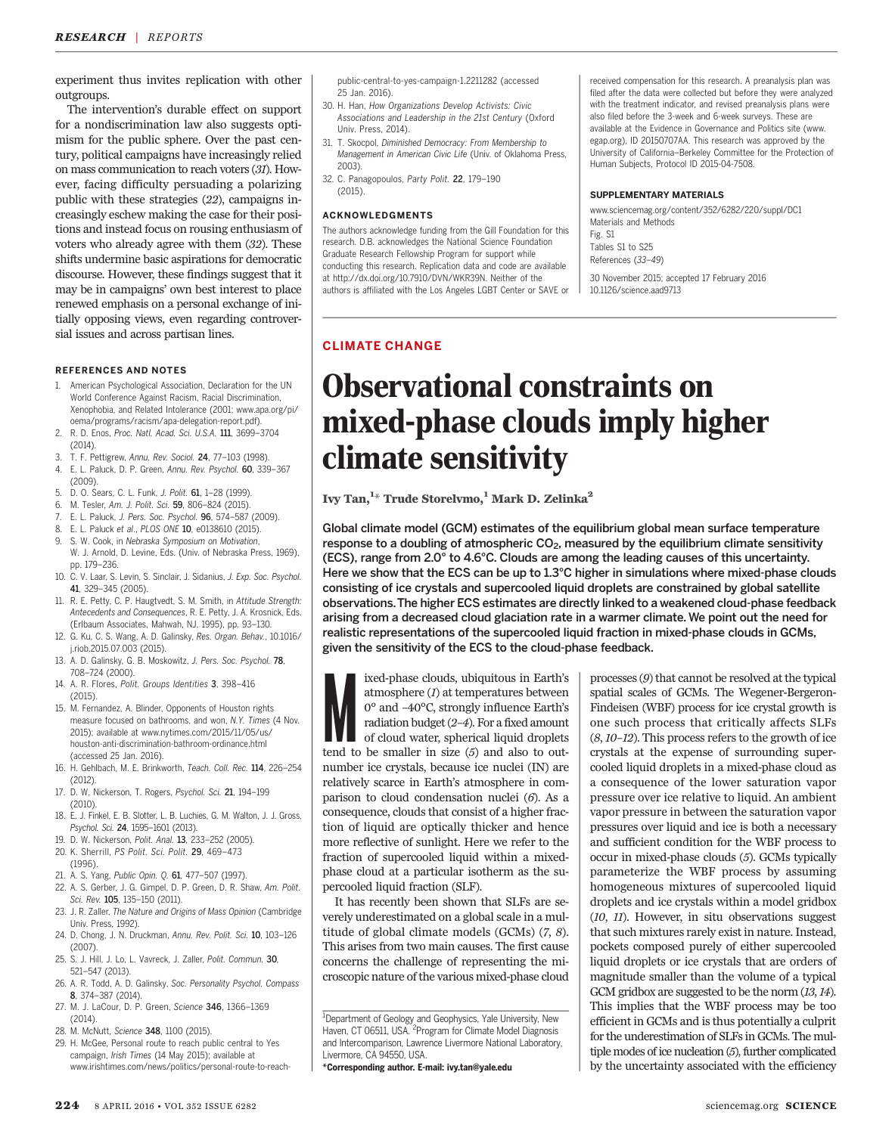experiment thus invites replication with other outgroups.

The intervention's durable effect on support for a nondiscrimination law also suggests optimism for the public sphere. Over the past century, political campaigns have increasingly relied on mass communication to reach voters (31). However, facing difficulty persuading a polarizing public with these strategies (22), campaigns increasingly eschew making the case for their positions and instead focus on rousing enthusiasm of voters who already agree with them (32). These shifts undermine basic aspirations for democratic discourse. However, these findings suggest that it may be in campaigns' own best interest to place renewed emphasis on a personal exchange of initially opposing views, even regarding controversial issues and across partisan lines.

#### REFERENCES AND NOTES

- American Psychological Association, Declaration for the UN World Conference Against Racism, Racial Discrimination, Xenophobia, and Related Intolerance (2001; www.apa.org/pi/ oema/programs/racism/apa-delegation-report.pdf).
- 2. R. D. Enos, Proc. Natl. Acad. Sci. U.S.A. 111, 3699–3704 (2014).
- 3. T. F. Pettigrew, Annu. Rev. Sociol. 24, 77–103 (1998).
- 4. E. L. Paluck, D. P. Green, Annu. Rev. Psychol. 60, 339–367
- (2009).
- 5. D. O. Sears, C. L. Funk, J. Polit. 61, 1–28 (1999).
- 6. M. Tesler, Am. J. Polit. Sci. 59, 806–824 (2015).
- E. L. Paluck, J. Pers. Soc. Psychol. 96, 574-587 (2009). 8. E. L. Paluck et al., PLOS ONE 10, e0138610 (2015).
- 9. S. W. Cook, in Nebraska Symposium on Motivation,
- W. J. Arnold, D. Levine, Eds. (Univ. of Nebraska Press, 1969), pp. 179–236.
- 10. C. V. Laar, S. Levin, S. Sinclair, J. Sidanius, J. Exp. Soc. Psychol. 41, 329–345 (2005).
- 11. R. E. Petty, C. P. Haugtvedt, S. M. Smith, in Attitude Strength: Antecedents and Consequences, R. E. Petty, J. A. Krosnick, Eds. (Erlbaum Associates, Mahwah, NJ, 1995), pp. 93–130.
- 12. G. Ku, C. S. Wang, A. D. Galinsky, Res. Organ. Behav., 10.1016/ j.riob.2015.07.003 (2015).
- 13. A. D. Galinsky, G. B. Moskowitz, J. Pers. Soc. Psychol. 78, 708–724 (2000).
- 14. A. R. Flores, Polit. Groups Identities 3, 398–416 (2015).
- 15. M. Fernandez, A. Blinder, Opponents of Houston rights measure focused on bathrooms, and won, N.Y. Times (4 Nov. 2015); available at www.nytimes.com/2015/11/05/us/ houston-anti-discrimination-bathroom-ordinance.html (accessed 25 Jan. 2016).
- 16. H. Gehlbach, M. E. Brinkworth, Teach. Coll. Rec. 114, 226–254 (2012).
- 17. D. W. Nickerson, T. Rogers, Psychol. Sci. 21, 194–199 (2010).
- 18. E. J. Finkel, E. B. Slotter, L. B. Luchies, G. M. Walton, J. J. Gross, Psychol. Sci. 24, 1595–1601 (2013).
- 19. D. W. Nickerson, Polit. Anal. 13, 233–252 (2005).
- 20. K. Sherrill, PS Polit. Sci. Polit. 29, 469–473 (1996).
- 21. A. S. Yang, Public Opin. Q. 61, 477–507 (1997).
- 22. A. S. Gerber, J. G. Gimpel, D. P. Green, D. R. Shaw, Am. Polit. Sci. Rev. 105, 135-150 (2011).
- 23. J. R. Zaller, The Nature and Origins of Mass Opinion (Cambridge Univ. Press, 1992).
- 24. D. Chong, J. N. Druckman, Annu. Rev. Polit. Sci. 10, 103–126 (2007).
- 25. S. J. Hill, J. Lo, L. Vavreck, J. Zaller, Polit. Commun. 30, 521–547 (2013).
- 26. A. R. Todd, A. D. Galinsky, Soc. Personality Psychol. Compass 8, 374–387 (2014).
- 27. M. J. LaCour, D. P. Green, Science 346, 1366–1369  $(2014)$
- 28. M. McNutt, Science 348, 1100 (2015).
- 29. H. McGee, Personal route to reach public central to Yes campaign, Irish Times (14 May 2015); available at www.irishtimes.com/news/politics/personal-route-to-reach-

public-central-to-yes-campaign-1.2211282 (accessed 25 Jan. 2016).

- 30. H. Han, How Organizations Develop Activists: Civic Associations and Leadership in the 21st Century (Oxford Univ. Press, 2014).
- 31. T. Skocpol, Diminished Democracy: From Membership to Management in American Civic Life (Univ. of Oklahoma Press, 2003).
- 32. C. Panagopoulos, Party Polit. 22, 179–190 (2015).

#### ACKNOWLEDGMENTS

The authors acknowledge funding from the Gill Foundation for this research. D.B. acknowledges the National Science Foundation Graduate Research Fellowship Program for support while conducting this research. Replication data and code are available at http://dx.doi.org/10.7910/DVN/WKR39N. Neither of the authors is affiliated with the Los Angeles LGBT Center or SAVE or received compensation for this research. A preanalysis plan was filed after the data were collected but before they were analyzed with the treatment indicator, and revised preanalysis plans were also filed before the 3-week and 6-week surveys. These are available at the Evidence in Governance and Politics site (www. egap.org), ID 20150707AA. This research was approved by the University of California–Berkeley Committee for the Protection of Human Subjects, Protocol ID 2015-04-7508.

#### SUPPLEMENTARY MATERIALS

www.sciencemag.org/content/352/6282/220/suppl/DC1 Materials and Methods

Fig. S1 Tables S1 to S25 References (33–49)

30 November 2015; accepted 17 February 2016 10.1126/science.aad9713

### CLIMATE CHANGE

# Observational constraints on mixed-phase clouds imply higher climate sensitivity

Ivy Tan, $^{\rm 1\star}$  Trude Storelvmo, $^{\rm 1}$  Mark D. Zelinka $^{\rm 2}$ 

Global climate model (GCM) estimates of the equilibrium global mean surface temperature response to a doubling of atmospheric  $CO<sub>2</sub>$ , measured by the equilibrium climate sensitivity (ECS), range from 2.0° to 4.6°C. Clouds are among the leading causes of this uncertainty. Here we show that the ECS can be up to 1.3°C higher in simulations where mixed-phase clouds consisting of ice crystals and supercooled liquid droplets are constrained by global satellite observations.The higher ECS estimates are directly linked to a weakened cloud-phase feedback arising from a decreased cloud glaciation rate in a warmer climate. We point out the need for realistic representations of the supercooled liquid fraction in mixed-phase clouds in GCMs, given the sensitivity of the ECS to the cloud-phase feedback.

ixed-phase clouds, ubiquitous in Earth's atmosphere (*I*) at temperatures between  $0^{\circ}$  and  $-40^{\circ}$ C, strongly influence Earth's radiation budget (2–4). For a fixed amount of cloud water, spherical liquid droplets ten ixed-phase clouds, ubiquitous in Earth's atmosphere (1) at temperatures between 0° and –40°C, strongly influence Earth's radiation budget (2–4). For a fixed amount of cloud water, spherical liquid droplets number ice crystals, because ice nuclei (IN) are relatively scarce in Earth's atmosphere in comparison to cloud condensation nuclei (6). As a consequence, clouds that consist of a higher fraction of liquid are optically thicker and hence more reflective of sunlight. Here we refer to the fraction of supercooled liquid within a mixedphase cloud at a particular isotherm as the supercooled liquid fraction (SLF).

It has recently been shown that SLFs are severely underestimated on a global scale in a multitude of global climate models (GCMs) (7, 8). This arises from two main causes. The first cause concerns the challenge of representing the microscopic nature of the various mixed-phase cloud

\*Corresponding author. E-mail: ivy.tan@yale.edu

processes (9) that cannot be resolved at the typical spatial scales of GCMs. The Wegener-Bergeron-Findeisen (WBF) process for ice crystal growth is one such process that critically affects SLFs  $(8, 10-12)$ . This process refers to the growth of ice crystals at the expense of surrounding supercooled liquid droplets in a mixed-phase cloud as a consequence of the lower saturation vapor pressure over ice relative to liquid. An ambient vapor pressure in between the saturation vapor pressures over liquid and ice is both a necessary and sufficient condition for the WBF process to occur in mixed-phase clouds (5). GCMs typically parameterize the WBF process by assuming homogeneous mixtures of supercooled liquid droplets and ice crystals within a model gridbox (10, 11). However, in situ observations suggest that such mixtures rarely exist in nature. Instead, pockets composed purely of either supercooled liquid droplets or ice crystals that are orders of magnitude smaller than the volume of a typical GCM gridbox are suggested to be the norm (13, 14). This implies that the WBF process may be too efficient in GCMs and is thus potentially a culprit for the underestimation of SLFs in GCMs. The multiple modes of ice nucleation (5), further complicated by the uncertainty associated with the efficiency

<sup>&</sup>lt;sup>1</sup>Department of Geology and Geophysics, Yale University, New Haven, CT 06511, USA. <sup>2</sup>Program for Climate Model Diagnosis and Intercomparison, Lawrence Livermore National Laboratory, Livermore, CA 94550, USA.